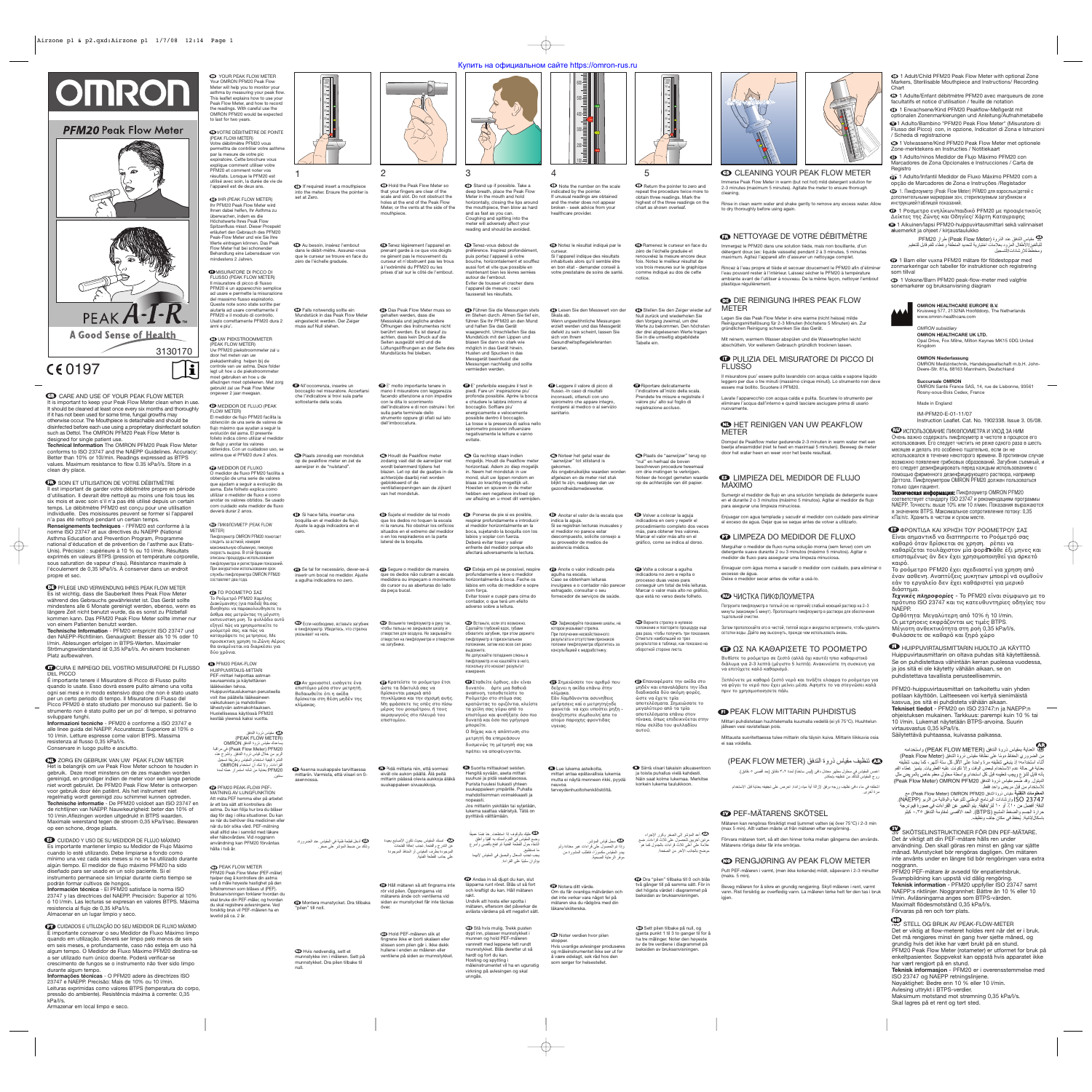GB YOUR PEAK FLOW METER Your OMRON PFM20 Peak Flow Meter will help you to monitor your asthma by measuring your peak flow. This leaflet explains how to use your Peak Flow Meter, and how to record the readings. With careful use the OMRON PFM20 would be expected to last for two years.

**EDVOTRE DÉBITMÈTRE DE POINTE** (PEAK FLOW METER) Votre débitmètre PFM20 vous

permettra de contrôler votre asthme par la mesure de votre pic .<br>expiratoire. Cette brochure vous explique comment utiliser votre PFM20 et comment noter vos résultats. Lorsque le PFM20 est utilisé avec soin, la durée de vie de l'appareil est de deux ans.

**DE** IHR (PEAK FLOW METER) Ihr PFM20 Peak Flow Meter wird lhnen dabei helfen, lhr Asthma zu überwachen, indem es die Höchstwerte lhres Peak Flow Spitzenfluss misst. Dieser Prospekt erläutert den Gebrauch des PFM20 Peak-Flow Meter und wie Sie Ihre Werte eintragen können. Das Peak Flow Meter hat bei schonender Behandlung eine Lebensdauer von mindestens 2 Jahren.

**ID MISURATORE DI PICCO DI** FLUSSO (PEAK FLOW METER) Il misuratore di picco di flusso PFM20 é un apparecchio semplice ad usare e permette la misurazione del massimo flusso espiratorio. Queste note sono state scritte per aiutarla ad usare correttamente il PFM20 e il modulo di controllo. Usato correttamente PFM20 dura 2 anni e piu'.

**OD UW PIEKSTROOMMETER** (PEAK FLOW METER) Uw PFM20 piekstroommeter zal u door het meten van uw piekademhaling helpen bij de controle van uw astma. Deze folde legt uit hoe u de piekstroommeter moet gebruiken en hoe u de aflezingen moet optekenen. Met zorg gebruikt zal uw Peak Flow Meter eveer 2 jaar meegaan

 $\mathbf{E}$ 

**EDIDOR DE FLUJO (PEAK** FLOW METER) El medidor de flujo PFM20 facilita la obtención de una serie de valores de flujo máximo que ayudan a seguir la evolución del asma. El presente folleto indica cómo utilizar el medidor de flujo y anotar los valores obtenidos. Con un cuidadoso uso, se estima que el PFM20 dure 2 años.

**CO** MEDIDOR DE FLUXO O medidor de fluxo PFM20 facilita a obtenção de uma serie de valores que ajudam a seguir a evolução da asma. Este folheto explica como utilizar o medidor de fluxo e como anotar os valores obtidos. Se usado com cuidado este medidor de fluxo deverà durar 2 anos.

ПИКФЛОУМЕТР (PEAK FLOW METER) -икфлоуметр OMRON PFM20 помогает следить за астмой, измеряя максимальную объемную, пиковую скорость выдоха. В этой брошюре описаны процедуры использования пикфлоуметра и регистрации показаний. -ри аккуратном использовании срок службы пикфлоуметра OMRON PFM20

**ED** PFM20 PEAK-FLOW HUIPPUVIRTAUS-MITTARI PEF-mittari helpottaa astmar seuraamista ja käytettävien

**SV PFM20 PEAK-FLOW PEF-**MÄTNING AV LUNGFUNKTION Att mäta PEF hemma eller på arbetet är ett bra sätt att kontrollera din astma. Du kan följa hur bra du blåser dag för dag i olika situationer. Du kan se när du behöver öka medicinen eller när du bör söka vård. PEF-mätning skall alltid ske i samråd med läkare eller hälsovårdare. Vid noggrann användning kan PFM20 förväntas hålla i två år.

> **OD PEAK FLOW METER** PFM20 Peak Flow Meter (PEF-måler) hjelper deg å kontrollere din astma ved å måle høyeste hastighet på den luftstrømmen som blåses ut (PEF). Bruksanvisningen forklarer hvordan du skal bruke din PEF-måler, og hvordan du skal registrere avlesningene. Ved forsiktig bruk vil PEF-måleren ha en levetid på ca. 2 år.

 مقياس ذروة التدفق (PEAK FLOW METER) يساعدك مقياس ذروة التدفق OMRON مراقبة في) Peak Flow Meter) PFM20 الربو من خلال قياس ذروة التدفق. وتشرح هذه النشرة كيفية استخدام المقياس وطريقة تسجيل القراءات<sub>.</sub> ولا شك أن استخدام OMRON<br>PFM20 بعناية من شأنه استمرار عمله لمدة

 $\bigoplus$  If required insert a mouthpiece into the meter. Ensure the pointer is

**ED** Au besoin, insérez l'embout dans le débit-mètre. Assurez-vous que le curseur se trouve en face du zéro de l'échelle graduée.

**De** Falls notwendig sollte ein<br>Mundstück in das Peak Flow Meter eingesteckt werden. Der Zeiger muss auf Null stehen.

 $\bullet$  Plaats zonodig een mondstuk op de peakflow meter en zet de aanwijzer in de "nulstand".

составляет два года.

**CD** Asenna suukappale tarvittaessa mittariin. Varmista, että viisari on 0-

 $\bullet$  Hvis nødvendig, sett et munnstykke inn i måleren. Sett på munnstykket. Dra pilen tilbake til

 ّ أدخل قطعة فمية في المقياس عند الضرورة، وتأكد من ضبط المؤشر على صفر. مسك لمقياس بحيث تكون الأصابع بعيدة عن التدرج و الفتحة. تجنب إعاقة الفتحات<br>الموجودة بطرف المقياس أو المنافذ الموجودة<br>على جانب القطعة الفمّية.

**ED** Tenez légèrement l'appareil en<br>prenant garde à ce que vos doigts ne gènent pas le mouvement du curseur et n'obstruent pas les trous à l'extrêmité du PFM20 ou les prises d'air sur le côté de l'embout.

lääkkeiden tehoa. Huippuvirtauslukeman perusteella voit itse päätella lääkeaineen vaikutuksen ja mahdollisen lähestyvän astmakohtauksen. Huolellisessa käytössä PFM20 kestää yleensä kaksi vuotta.

 $\bullet$  Se tal for necessário, dever-se-á inserir um bocal no medidor. Ajuste a agulha indicadora no zero. **PT** Segure o medidor de maneira<br>que os dedos não cubram a escala medidora ou impeçam o movimento do cursor ou as aberturas do lado da peça bucal.

> **ID** Hold PEF-måleren slik at<br>fingrene ikke er borti skalaen eller slissen som pilen går i. Ikke dekk hullene i enden av måleren eller ventilene på siden av munnstykket.

 $\bigoplus$  Stand up if possible. Take a deep breath, place the Peak Flow Meter in the mouth and hold horizontally, closing the lips around the mouthpiece, then blow as hard and as fast as you can. Coughing and spitting into the meter will adversely affect your reading and should be avoided.

سنتين.

1

set at Zero.

**ED** Tenez-vous debout de préférence. Inspirez profondément, puis portez l'appareil à votre bouche, horizontalement et soufflez aussi fort et vite que possible en maintenant bien les lèvres serrées autour de l'embout. Eviter de tousser et cracher dans l'appareil de mesure : ceci fausserait les résultats.

DE Führen Sie die Messungen stets im Stehen durch. Atmen Sie tief ein, führen Sie Ihr PFM20 an den Mund und halten Sie das Gerät waagerecht. Umschließen Sie das Mundstück mit den Lippen und blasen Sie dann so stark wie möglich in das Gerät hinein. Husten und Spucken in das Messgerät beeinflusst die Messungen nachteilig und sollte vermieden werden. Skala ab. sich von Ihrem berater

IT All'occorrenza, inserire un

sottostante della scala.

**D** Ga rechtop staan indien<br>mogelijk. Houdt de Peakflow meter horizontaal. Adem zo diep mogelijk in. Neem het mondstuk in uw mond, sluit uw lippen rondom en blaas zo krachtig mogeltijk uit. Hoesten en spuwen in de meter hebben een negatieve invloed op uw aflezing en u moet dit vermijden.

ES Si hace falta, insertar una boquilla-en el medidor de flujo. Ajuste la aguja indicadora en el

cero.

в пикфлоуметр. Убедитесь, что стрелка

 $\bullet$  Esteja em pé se possivel, respire profundamente e leve o medidor horizontalmente à boca. Feche os lábios em volta do medidor e sopre com força. Evitar tossir e cuspir para cima do contador, o que terá um efeito adverso sobre a leitura.

указывает на ноль.

ET Αν ρειαστεΙ, εισάγετε ένα επιστόμιο μέσα στον μετρητή. Βεβαιωθείτε ότι η ακίδα ßρίσκεται στη θέση μηδέν της  $\bf{CD}$  Встаньте, если это возможно 6делайте глубокий вдох, губами обхватите загубник, при этом держите пикфлоуметр в горизонтальном положении, затем изо всех сил резко выдохните. 5е допускайте попадания слюны в пикфлоуметр и не кашляйте в него, ольку это исказит результат измерения.

**Ε**Σταθείτε όρθιος, εάν είναι<br>δυνατόν. άρτε μια βαθειά αναπνοη, τοποθετείστε το Ροόμετρο στο στόμα σας<br>κρατώντας το οριζόντια, κλείστε τα χείλη σας γύρω από το<br>επιστόμιο και φυσήξατε όσο πιο<br>δυνατά και όσο πιο γρήγορα δυνατά και όσο πιο γρήγορα μπορείτε Ο βήχας και η απόπτυση στο

μετρητή θα επηρεάσουν δυσμενώς τη μέτρησή σας και πρέπει να αποφέυγονται.

κλίμακας.

έπει να αποφέ

asennossa.

''pilen'' till noll.

null.

 $\bullet$  Suorita mittaukset seister. Hengitä syvään, aseta mittari suuhusi ja pidä vaakatasossa. Purista huulesi tiukasti yhtee suukappaleen ympärille. Puhalla mahdollisimman voimakkaasti ja nopeasti. Jos mittariin yskitään tai syljetään, lukema saattaa vääristyä. Tätä on

boccaglio nel misuratore. Accertarsi che l'indicatore si trovi sula parte  $\mathbf \Theta$  E' molto importante tenere in mano il misuratore con leggerezza facendo attenzione a non impedire con le dita lo scorrimento dell'indicatore e di non ostruire i fori sulla parte terminale dello strumento oppure gli sfiati sul lato dell'imboccatura.

> $\bigoplus$  Andas in så djupt du kan, slut läpparna runt röret. Blås ut så fort och kraftigt du kan. Håll mätare rakt. Undvik att hosta eller spotta i

2 GB Hold the Peak Flow Meter so that your fingers are clear of the scale and slot. Do not obstruct the holes at the end of the Peak Flow Meter, or the vents at the side of the mouthpiece.

> اعليك بالوقوف إذا استطعت. خذ نفسًا عميقًا وضع المقياس في الفم و أمسك به أفقيًا وأغلق<br>الشفاه حول القطعة الفقية ثم انفخ بأقصى و أسر ع ما تستطيع. يجب تجنب السعال و لبصق في لمقياس لأنهما يؤثر ن ً سلبيا على لقراءة.

DE Das Peak Flow Meter muss so gehalten werden, dass die Messskala und jegliche andere Öffnungen des Instrumentes nicht berührt werden. Es ist darauf zu achten, dass kein Druck auf die Seiten ausgeübt wird und die Lüftungsöffnungen an der Seite des Mundstücks frei bleiben.

 сли необходимо, вставьте загубник \*озьмите пикфлоуметр в руку так, чтобы пальцы не закрывали шкалу и отверстия для воздуха. Не закрывайте<br>отверстия на пикфлоуметре и отверстия на загубнике.

> **Ð** Κρατείστε το ροόμετρο έτσι<br>ώστε τα δάκτυλά σας να ßρίσκνται μακριά απ τηνκλίμακα και την σχισμή αυής.<br>Μη φράσσετε τις οπές στο πίσω μέρος του ροομέτρου, ή τους αεραγωγούς στο πλευρό τοι επιστομίου

IT Leggere il valore di picco di flusso.-In caso di risultati inconsueti, ottenuti con uno spirometro che appare integro ersi al medico o al servizio

SV Montera munstycket. Dra tillbaka SV Håll mätaren så att fingrarna inte rör vid pilen. Öppningarna vid mätarens ände och ventilerna vid sidan av munstycket får inte täckas över.

7афиксируйте показание шкалы, на которое указывает стрелка. -ри получении несвойственного результата и отсутствии признаков поломки пикфлоуметра обратитесь за консультацией к медработнику.

NL Houdt de Peakflow meter zodanig vast dat de aanwijzer niet wordt belemmerd tijdens het blazen. Let op dat de gaatjes in de achterzijde daarbij niet worden geblokkeerd of de ventilatieopeningen aan de zijkant van het mondstuk.

ES Sujete el medidor de tal modo que los dedos no toquen la escala ni la ranura. No obstruir los orificios situados en el extremo del medido o en los respiraderos en la parte lateral de la boquilla.

> $\bf \Phi$  Noter verdien hvor pilen stopper. Hvis uvanlige avlesinger produseres og måleinstrumentet ikke ser ut for

**ED** Ramenez le curseur en face du<br>zéro de l'échelle graduée et renouvelez la mesure encore deux fois. Notez le meilleur résultat de vos trois mesures sur le graphique comme indiqué au dos de cette

**ID** Riportare delicatamente l'indicatore all'inizio della scala. Prendete tre misure e registrate il valore piu' alto sul foglio di registrazione accluso.

FI Pidä mittaria niin, että sormesi eivät ole aukon päällä. Älä peitä mittarin päässä olevia aukkoja äläkä suukappaleen sivuaukkoja.

**D** Noteer het getal waar de<br>"aanwijzer" tot stilstand is Als ongebruikelijke waarden worden afgelezen en de meter niet stuk blijkt te zijn, raadpleeg dan uw gezondheidsmedewerker. NL Plaats de "aanwijzer" terug op "nul" en herhaal de boven beschreven procedure tweemaal om drie metingen te verkrijgen. Noteer de hoogst gemeten waarde op de achterzijde van dit papier.

> nás, para obtener tres valores Marcar el valor más alto en el

 $\bullet$  Anote o valor indicado pela agulha na escala. Caso se obtenham leituras invulgares e o contador não parecer estragado, consultar o seu fornecedor de servicos de saúde.  $\bullet$  Volte a colocar a agulha indicadora no zero e repita o processo duas vezes para Marcar o valor mais alto no gráfico, que está no verso deste folheto.

> **• Верните стрелку в нулевое** положение и повторите процедуру еще два раза, чтобы получить три показани. Отметьте наибольший из трех результатов в таблице, как показано на

> **E**παναφέρατε την ακίδα στο .<br>μηδέν και επαναλάβατε την ίδια διαδικασία δύο ακόμη φορές, .<br>αποτελέσματα. Σημειώσατε το πίνακα, πως επιδεικνύεται στην

Θ Σημειώσατε τον αριθμό που δείχνει η ακίδα επάνω ότην κλίμακα. Εἀν λαμβάνονται ασυνηθεις μετρησεις καί ο μετρητηςπδε φαινετάι να εχει υποότει ρηξη -<br>άναζητηστε συμβουλη´απο το ατοίιο παροχης φροντιδας υγειας. ώστε να έχετε τρία μεναλύτερο από τα τρία απτελέσματα επάνω στν πίσω σελίδα του φυλλαδίου αυτύ.

 $\bullet$  Lue lukema asteikolta. mittari antaa epätavallisia lukemia mutta ei näytä menneen rikki, pyydä neuvoa terveydenhuoltohenkilöstöltä.  $\bullet$  Siirrä viisari takaisin alkuasentoo ja toista puhallus vielä kahdesti. Näin saat kolme lukemaa. Merkitse

لظه سجل قياس المؤشر <sub>.</sub><br>وإذا تم الحصول على قراءات غير معتادة ولم يبدو المقياس مكسورًا، فاطلب المشورة من<br>موفر الرعاية الصحية.

3

ها أعد المؤشر إلى الصفر وكرر الإجراء<br>مرتين أخريين للحصول على ثلاث قراءات<sub>.</sub> ضع<br>علامة على أعلى ثلاث قراءات بالجدول كما هو موضح بالجانب الآخر من الصفحة.

### **GB CLEANING YOUR PEAK FLOW METER** Immerse Peak Flow Meter in warm (but not hot) mild detergent solution for

Rinse in clean warm water and shake gently to remove any excess water. Allow to dry thoroughly before using again

# **ED NETTOYAGE DE VOTRE DÉBITMÈTRE**

Immergez le PFM20 dans une solution tiède, mais non bouillante, d'un détergent doux (ex: liquide vaisselle) pendant 2 à 3 minutes, 5 minutes mum. Agitez l'appareil afin d'assurer un nettoyage complet.

### **CB** DIE REINIGUNG IHRES PEAK FLOW METER

### **ID PULIZIA DEL MISURATORE DI PICCO DI** FLUSSO

# **CD HET REINIGEN VAN UW PEAKFLOW** METER

IT E' preferibile eseguire il test in piedi. Fare un' inspirazione piu' profonda possibile. Aprire la bocca e chiudere le labbra intorno al boccaglio. Soffiare piu' energicamente e velocemente possibile dentro il boccaglio. La tosse e la presenza di saliva nello spirometro possono influenzare negativamente le letture e vanno evitate.

> Погрузите пикфлоуметр в теплый (но не горячий) слабый моющий раствор на 2–3<br>минуты (максимум 5 минут). Прополошите пикфлоуметр в растворе для обеспечения тщательной очистки.

7атем прополоскайте его в чистой, теплой воде и аккуратно встряхните, чтобы удалить остатки воды. Дайте ему высохнуть, прежде чем использовать вновь

# **ED ΩΣ NA KAΘAPIΣETE TO POOMETPO**

Βυθίστε το ροόμετρο σε ζεστό (αλλά όχι καυτό) ηπιο καθαριστικό διάλυμα για 2-3 λεπτά (μέγιστο 5 λεπτά). Aνακινείστε τη συσκευη για<br>να επιτύχετε καλό καθαρισμό.

Ξεπλύνετε με καθαρό ζεστό νερό και τινάξτε ελαφρα το ροόμετρο για να φύγει το νερό που έχει μείνει μέσα. Αφηστε το να στεγνώσει καλά πριν το χρησιμοποιησετε πάλι.

# **O PEAK FLOW MITTARIN PUHDISTUS**

ES Ponerse de pie si es posible, respirar profundamente e introducir el medidor horizontalmente en la boca, sujetando la boquilla con los labios y soplar con fuerza. Deberá evitar toser y salivar enfrente del medidor porque ello afectará adversamente la lectura.

> اغمس المقياس في محلول مطهر معتدل دافئ (ليس ساخنًا) لمدة ٢-٣ دقائق (حد أقصى ٥ دقائق). روج المقياس للتأكد من تنظيفه إحكام

اشطفه في ماء دافئ نظيف ورجه برفق لإزالة أية مياه زائدة. احرص على تجفيفه بعناية قبل الاستخدام مرة أخرى.

### **SV PEF-MÄTARENS SKÖTSEL**

 $\bigoplus$  Note the number on the scale 100 500 400 300 200

ov

GB CARE AND USE OF YOUR PEAK FLOW METER It is important to keep your Peak Flow Meter clean when in use. It should be cleaned at least once every six months and thoroughly if it has not been used for some time, fungal growths may otherwise occur. The Mouthpiece is detachable and should be disinfected before each use using a proprietary disinfectant solution such as Dettol. The OMRON PFM20 Peak Flow Meter is designed for single patient use.

**ED** SOIN ET UTILISATION DE VOTRE DÉBITMÈTRE Il est important de garder votre débitmètre propre en période d'utilisation. Il devrait être nettoyé au moins une fois tous les six mois et avec soin s'il n'a pas été utilisé depuis un certain temps. Le débitmètre PFM20 est conçu pour une utilisation individuelle. Des moisissures peuvent se former si l'appareil n'a pas été nettoyé pendant un certain temps.

pyrittävä välttämään.

mätaren, eftersom det påverkar de avlästa värdena på ett negativt sätt.

NO Stå hvis mulig. Trekk pusten dypt inn, plasser munnstykket i munnen og hold PEF-måleren vannrett med leppene tett rundt munnstykket. Blås deretter ut så hardt og fort du kan. Hosting og spytting i måleinstrumentet vil ha en ugunstig virkning på avlesingen og skal unngås.

**DE PFLEGE UND VERWENDUNG IHRES PEAK FLOW METER** Es ist wichtig, dass die Sauberkeit Ihres Peak Flow Meter während des Gebrauchs gewährleistet ist. Das Gerät sollte mindestens alle 6 Monate gereinigt werden, ebenso, wenn es längere Zeit nicht benutzt wurde, da es sonst zu Pilzbefall kommen kann. Das PFM20 Peak Flow Meter sollte immer nur von einem Patienten benutzt werden. **Technische Information** - PFM20 entspricht ISO 23747 und den NAEPP-Richtlinien. Genauigkeit: Besser als 10 % oder 10

**IT CURA E IMPIEGO DEL VOSTRO MISURATORE DI FLUSSO** DEL PICCO É importante tenere il Misuratore di Picco di Flusso pulito

4

indicated by the pointer. If unusual readings are obtained and the meter does not appear broken - seek advice from your healthcare provider.

curseur.

**ID ZORG EN GEBRUIK VAN UW PEAK FLOW METER** Het is belangrijk om uw Peak Flow Meter schoon te houden in gebruik. Deze moet minstens om de zes maanden worden gereinigd, en grondiger indien de meter voor een lange periode niet wordt gebruikt. De PFM20 Peak Flow Meter is ontworpen voor gebruik door één patiënt. Als het instrument niet regelmatig wordt gereinigd zou schimmel kunnen optreden. **Technische informatie** - De PFM20 voldoet aan ISO 23747 en de richtlijnen van NAEPP. Nauwkeurigheid: beter dan 10% of 10 l/min.Aflezingen worden uitgedrukt in BTPS waarden. Maximale weerstand tegen de stroom 0,35 kPa/l/sec. Bewaren op een schone, droge plaats.

sanitario.

gekomen.

**CD** CUIDADOS E UTILIZAÇÃO DO SEU MEDIDOR DE FLUXO MÁXIMO É importante conservar o seu Medidor de Fluxo Máximo limpo quando em utilização. Deverá ser limpo pelo menos de seis em seis meses, e profundamente, caso não esteja em uso há algum tempo. O Medidor de Fluxo Máximo PFM20 destina-se a ser utilizado num único doente. Poderá verificar-se crescimento de fungos se o instrumento não tiver sido limpo durante algum tempo.

FR Notez le résultat indiqué par le Si l'appareil indique des résultats inhabituels alors qu'il semble être en bon état - demander conseil à votre prestataire de soins de santé. notice.

> ET ΦPONTIΔA KAI XPHΣH TOY POOMETPOY ΣAΣ Είναι αημαντικδ να διατπηρειτε το Ροόμετρό σας καθαρό όταν βρίσκεται σε χρηση. ρέπει να καθαρίζεται τουλάχιστον μία φοράΤκάθε έξι μηνες και επισταμένως ἀν δεν έχει χρησιμοποιηθεί για άρκετό καιρό

DE Lesen Sie den Messwert von der Wenn ungewöhnliche Messungen erzielt werden und das Messgerät defekt zu sein scheint, lassen Sie Gesundheitspflegelieferanten DE Stellen Sie den Zeiger wieder auf Null zurück und wiederholen Sie den Vorgang zweimal, um drei Werte zu bekommen. Den höchsten der drei abgelesenen Werte tragen Sie in die umseitig abgebildete Tabelle ein.

> Το ροόμετρο PFM20 έχει σχεδιαστεί για χρηση από έναν ασθενη. Αναπτύξεις μυκητων μποερί νά ουμβούν εάν το εργαλείο δεν έχει καθάριστεί για μερικό διάστημα.

**Τεχνικές πληροφορίες -** Το PFM20 είναι σύμφωνο με το πρότυπο ISO 23747 και τις κατευθυντηρίες οδηγίες του NAEPP.

Ορθότητα: Μεγαλύτερη από 10% ή 10 l/min. Οι μετρήοεις εκφράζονται ως τιμές BTPS. Μέγιοτη ανθεκτικότητα στη ροή 0,35 kPa/l/s. Φυλάσσετε σε καθαρό και ξηρό χώρο

SV Notera ditt värde. Om du får ovanliga mätvärden och det inte verkar vara något fel på mätaren ska du rådgöra med din läkare/sköterska.

som sørger for helsestellet

 $\bullet$  HUIPPUVIRTAUSMITTARIN HUOLTO JA KÄYTTÖ Huippuvirtausmittarin on oltava puhdas sitä käytettäessä. Se on puhdistettava vähintään kerran puolessa vuodessa, ja jos sitä ei ole käytetty vähään aikaan, se on puhdistettava tavallista perusteellisemmin.

ES Anotar el valor de la escala que indica la aguja. Si se registran lecturas inusuales y el medidor no parece estar descompuesto, solicite consejo a su proveedor de medios de asistencia médica. ES Volver a colocar la aguja indicadora en cero y repetir el gráfico, como se indica al dorso.

5

SV SKÖTSELINSTRUKTIONER FÖR DIN PEF-MÄTARE. Det är viktigt att din PEF-mätare hålls ren under användning. Den skall göras ren minst en gång var sjätte månad. Munstycket bör rengöras dagligen. Om mätaren inte använts under en längre tid bör rengöringen vara extra noggrann.

GB Return the pointer to zero and repeat the procedure twice more to obtain three readings. Mark the highest of the three readings on the chart as shown overleaf.

> **WO STELL OG BRUK AV PEAK-FLOW-METER** Det er viktig at flow-meteret holdes rent når det er i bruk. Det må rengjøres minst én gang hver sjette måned, og grundig hvis det ikke har vært brukt på en stund. PFM20 Peak Flow Meter (rotameter) er utformet for bruk på enkeltpasienter. Soppvekst kan oppstå hvis apparatet ikke har vært rengjort på en stund.

GB 1 Adult/Child PFM20 Peak Flow Meter with optional Zone Markers, Sterilisable Mouthpiece and Instructions/ Recording **Chart** 

procedimiento completo dos veces

seguir um total de três leituras.

å være ødelagt, søk råd hos den NO Sett pilen tilbake på null, og gjenta punkt 1 til 3 to ganger til for å ha tre målinger. Noter den høyeste av de tre verdiene i diagrammet på baksiden av bruksanvisningen.

**Φ** 1 Ροσμετρο ενηλἰκων/παιδικό PFM20 με προαιρετικούς Δείκτες της Zώνης και Oδηγίες/ Xάρτη Kαταγραης FI 1 Aikuinen/lapsi PFM20-huippuvirtausmittari sekä valinnaiset

 $\textcircled{1}$  Voksne/Barn PFM20 peak-flow-meter med valgfrie sonemarkører og bruksanvisning diagram

оборотной стороне листа.

ИСПОЛЬЗОВАНИЕ ПИКФЛОУМЕТРА И УХОД ЗА НИМ Instruction Leaflet. Cat. No. 1902338. Issue 3. 05/08.

**E** TO POOMETPO ΣΑΣ Το Ροόμετρό PFM20 Χαμηλης Διακύμανσης (για παιδιά) θα σας Διακυμανσης (για παισια) σα σας<br>βοηθησει να παρακολουθησετε το άσθμα σας μετρώντας τη μέγιστη εκπνευστικη ροη. Το φυλλάδιο αυτό<br>εξηγεί πώς να χρησιμοποιείτε το<br>ooόμετοό σαρ, και πώρ να ροόμετρό σας, και πώς να καταγράψετε τις μετρησεις. Με<br>προσεκτικη χρηση το Ζώνη Αέρος<br>θα αναμένεται να διαρκέσει για θα αναμένεται να διαρκέσει για<br>δύο χρόνια δύο χρόνια. ´

korkein lukema taulukkoon.

SV Dra ''pilen'' tillbaka till 0 och blås

två gånger till på samma sätt. För in det högsta värdet i diagrammet på

baksidan av bruksanvisningen.

2-3 minutes (maximum 5 minutes). Agitate the meter to ensure thorough cleaning.

Rincez à l'eau propre et tiède et secouer doucement le PFM20 afin d'éliminer l'eau pouvant rester à l'intérieur. Laissez sécher le PFM20 à température ambiante avant de l'utiliser à nouveau. De la même façon, nettoyer l'embout plastique régulièrement.

Legen Sie das Peak Flow Meter in eine warme (nicht heisse) milde Reinigungsmittellösung für 2-3 Minuten (höchstens 5 Minuten) ein. Zur gründlichen Reinigung schwenken Sie das Gerät.

Mit reinem, warmem Wasser abspülen und die Wassertropfen leicht abschütteln. Vor weiterem Gebrauch gründlich trocknen lassen.

Il misuratore puo' essere pulito lavandolo con acqua calda e sapone liquido leggero per due o tre minuti (massimo cinque minuti). Lo strumento non deve essere mai bollito. Scuotere il PFM20.

Lavate l'apparecchio con acqua calda e pulita. Scuotere lo strumento per eliminare l'acqua dall'interno e quindi lasciare asciugare prima di usario nuovamente.

Dompel de Peakflow meter gedurende 2-3 minuten in warm water met een beetje afwasmiddel (niet te heet en maximaal 5 minuten). Beweeg de meter door het water heen en weer voor het beste resultaat.

# ES LIMPIEZA DEL MEDIDOR DE FLUJO MÀXIMO

Sumergir el medidor de flujo en una solución templada de detergente suave en el durante 2 o 3 minutos (máximo 5 minutos). Agitar el medidor de flujo para asegurar una limpieza minuciosa.

Enjuagar con agua templada y sacudir el medidor con cuidado para eliminar el exceso de agua. Dejar que se seque antes de volver a utilizarlo.

# **O LIMPEZA DO MEDIDOR DE FLUXO**

Mergulhar o medidor de fluxo numa solução morna (sem ferver) com um detergente suave durante 2 ou 3 minutos (máximo 5 minutos). Agitar o medidor de fluxo para assegurar uma limpeza minuciosa.

Enxaguar com água morna e sacudir o medidor com cuidado, para eliminar o

# excesso de água. Deixe o medidor secar antes de voltar a usá-lo.

### ЧИСТКА ПИКФЛОУМЕТРА

Mittari puhdistetaan huuhtelemalla kuumalla vedellä (ei yli 75°C). Huuhtelun jälkeen vesi ravistellaan pois.

Mittausta suoritettaessa tulee mittarin olla täysin kuiva. Mittarin liikkuvia osia ei saa voidella.

Mätaren kan rengöras försiktigt med ljummet vatten (ej över 75°C) i 2-3 min (max 5 min). Allt vatten måste ut från mätaren efter rengörning.

Förvara mätaren torrt, så att den hinner torka mellan gångerna den används. Mätarens rörliga delar får inte smörjas.

#### **ED RENGJØRING AV PEAK FLOW METER**

Putt PEF-måleren i varmt, (men ikke kokende) mildt, såpevann i 2-3 minutter

(maks. 5 min). Beveg måleren for å sikre en grundig rengjøring. Skyll måleren i rent, varmt vann. Rist forsiktig av overflødig vann. La måleren tørke helt før den tas i bruk igjen.

# تنظيف مقياس ذروة التدفق (METER FLOW PEAK(

700 600 500

L/MIN





**Technical Information** The OMRON PFM20 Peak Flow Meter conforms to ISO 23747 and the NAEPP Guidelines. Accuracy: Better than 10% or 10l/min. Readings expressed as BTPS values. Maximum resistance to flow 0.35 kPa/l/s. Store in a clean dry place.

**Renseignements techniques** - l'PFM20 est conforme à la norme ISO 23747 et aux directives du NAEPP (National Asthma Education and Prevention Program, Programme national d'éducation et de prévention de l'asthme aux Etats-Unis). Précision : supérieure à 10 % ou 10 l/min. Résultats exprimés en valeurs BTPS (pression et température corporelle, sous saturation de vapeur d'eau). Résistance maximale à l'écoulement de 0,35 kPa/l/s. À conserver dans un endroit propre et sec.

l/min. Ablesungen erfolgen in BTPS-Werten. Maximaler Strömungswiderstand ist 0,35 kPa/l/s. An einem trockenen Platz aufbewahren.

quando lo usate. Esso dovrà essere pulito almeno una volta ogni sei mesi e in modo estensivo dopo che non è stato usato per un certo periodo di tempo. Il Misuratore di Flusso del Picco PFM20 è stato studiato per monouso sui pazienti. Se lo strumento non è stato pulito per un po' di tempo, si potranno sviluppare funghi.

**Informazioni tecniche** - PFM20 è conforme a ISO 23747 e alle linee guida del NAEPP. Accuratezza: Superiore al 10% o 10 l/min. Letture espresse come valori BTPS. Massima resistenza al flusso 0,35 kPa/l/s. Conservare in luogo pulito e asciutto.

ES CUIDADO Y USO DE SU MEDIDOR DE FLUJO MÁXIMO Es importante mantener limpio su Medidor de Flujo Máximo cuando lo esté utilizando. Debe limpiarse a fondo como mínimo una vez cada seis meses si no se ha utilizado durante algún tiempo. El medidor de flujo máximo PFM20 ha sido diseñado para ser usado en un solo paciente. Si el instrumento permanece sin limpiar durante cierto tiempo se podrán formar cultivos de hongos.

**Información técnica** - El PFM20 satisface la norma ISO 23747 y las directrices del NAEPP. Precisión: Superior al 10% ó 10 l/min. Las lecturas se expresan en valores BTPS. Máxima resistencia al flujo de 0,35 kPa/l/s. Almacenar en un lugar limpio y seco.

**Informações técnicas** - O PFM20 adere às directrizes ISO 23747 e NAEPP. Precisão: Mais de 10% ou 10 l/min. Leituras exprimidas como valores BTPS (temperatura do corpo, pressão do ambiente). Resistência máxima à corrente: 0,35 kPa/l/s.

Armazenar em local limpo e seco.

Очень важно содержать пикфлоуметр в чистоте в процессе его использования. го следует чистить не реже одного раза в шесть месяцев и делать это особенно тщательно, если он не использовался в течение некоторого времени. В противном случае возможно появление грибковых образований. 7агубник съемный, и его следует дезинфицировать перед каждым использованием с помощью фирменного дезинфицирующего раствора, например Деттола. Пикфлоуметром OMRON PFM20 должен пользоваться только один пациент.

**Техническая информация: Пикфлоуметр OMRON PFM20** соответствует стандарту ISO 23747 и рекомендациям программы NAEPP. Точность: выше 10% или 10 л/мин. Показания выражаются в значениях BTPS. Максимальное сопротивление потоку: 0,35 кПа/л/с. Хранить в чистом и сухом месте.

PFM20-huippuvirtausmittari on tarkoitettu vain yhden potilaan käyttöön. Laitteeseen voi kertyä sienimäistä kasvua, jos sitä ei puhdisteta vähään aikaan. **Tekniset tiedot** - PFM20 on ISO 23747:n ja NAEPP:n ohjeistuksen mukainen. Tarkkuus: parempi kuin 10 % tai 10 l/min. Lukemat näytetään BTPS-arvoina. Suurin virtausvastus 0,35 kPa/l/s.

Säilytettävä puhtaassa, kuivassa paikassa.

ی<br>توقیع العثایة بمقیاس ذروة التنفق (PEAK FLOW METER) واستخدامه<br>من الضووري الحفاظ دومًا علم نظافة مقابل ذووة التنفة، (Peak Flow Meter الضروري الحفاظ دومًا على نظافة مقياس ذروة التدفق (Peak Flow Meter) أَثْنَاء استَخْدَامَهُ؛ إذ ينبغي تنظيفه مرءً واحدة على الأقل كل ستَّة أشهر، كما يجب تنظيفُه بعنانية في حالة عدم الاستخدام لبعض الوقت وإلَّا تكونت عليه الفطريات. يتميز غطاء الفم .<br>بأنه قابل للنزع ويبعب تعقيمه قبل كل استخدام بواسطة محلول معقم خاصٌ بالعريض مثل .<br>الديتول. وقد صُمم مقياس ذروة التدفق (Peak Flow Meter) OMRON PFM20) للاستخدام من قَبل مريض وأحد فقط.

تحسستانوكي من سبن مرتبس واست عسد.<br>ا**لمعلومات النقلية** مقياس ذروة الندفق Peak Flow Meter) OMRON PFM20 مع حرارة الجسم والضغط المشبع (BTPS). الحد الأقصىي لمقاومة التدفق ٠,٣٥ كيلو باسكال/ثانية. يُحفظ في مكان جاف ونظيف.

PFM20 PEF-mätare är avsedd för enpatientsbruk. Svampbildning kan uppstå vid dålig rengöring. **Teknisk information** - PFM20 uppfyller ISO 23747 samt NAEPP:s riktlinjer. Noggrannhet: Bättre än 10 % eller 10 l/min. Avläsningarna anges som BTPS-värden. Maximalt flödesmotstånd 0,35 kPa/l/s.

Förvaras på ren och torr plats.

**Teknisk informasjon** - PFM20 er i overensstemmelse med ISO 23747 og NAEPP retningslinjene.

Nøyaktighet: Bedre enn 10 % eller 10 l/min. Avlesing uttrykt i BTPS-verdier.

Maksimum motstand mot strømning 0,35 kPa/l/s. Skal lagres på et rent og tørt sted.

FR 1 Adulte/Enfant débitmètre PFM20 avec marqueurs de zone facultatifs et notice d'utilisation / feuille de notation DE 1 Erwachsene/Kind PFM20 Peakflow-Meßgerät mit

optionalen Zonenmarkierungen und Anleitung/Aufnahmetabelle  $\bigoplus$ 1 Adulto/Bambino "PFM20 Peak Flow Meter" (Misuratore di Flusso del Picco) con, in opzione, Indicatori di Zona e Istruzioni / Scheda di registrazione

NL 1 Volwassene/Kind PFM20 Peak Flow Meter met optionele Zone-merktekens en Instructies / Notitiekaart ES 1 Adulto/ninos Medidor de Flujo Máximo PFM20 con

Marcadores de Zona Opcionales e Instrucciones / Carta de Registro PT 1 Adulto/Infantil Medidor de Fluxo Máximo PFM20 com a

opção de Marcadores de Zona e Instruções /Registador 1. Пикфлоуметр (Peak Flow Meter) РFM20 для взрослых/детей с дополнительными маркерами зон, стерилизуемым загубником и инструкцией/таблицей показаний.

SV 1 Barn eller vuxna PFM20 mätare för flödestoppar med zonmarkeringar och tabeller för instruktioner och registrering som tillval

aluemerkit ja ohjeet / kirjaustaulukko **FIN** مقياس التدفق عند الذروة (Meter Flow Peak (طراز 20PFM للبالغين/الأطفال المزود بعلامات اختيارية لتحديد المنطقة وغطاء للفم قابل للتعقيم ومخطط للإرشادات/التسجيل

**OMRON HEALTHCARE EUROPE B.V.**



ruisweg 577, 2132NA Hoofddorp, The Netherlands www.omron-healthcare.com **OMRON** subsidiar

**OMRON HEALTHCARE UK LTD.**  Opal Drive, Fox Milne, Milton Keynes MK15 0DG United Kingdom

**OMRON Niederlassung**  OMRON Medizintechnik, Handelsgesellschaft m.b.H. John-Deere-Str. 81a, 68163 Mannheim, Deutschland

**Succursale OMRON**  OMRON Santé France SAS, 14, rue de Lisbonne, 93561

Rosny-sous-Bois Cedex, France Made in England

### IM-PFM20-E-01-11/07

0197





Купить на официальном сайте https://omron-rus.ru